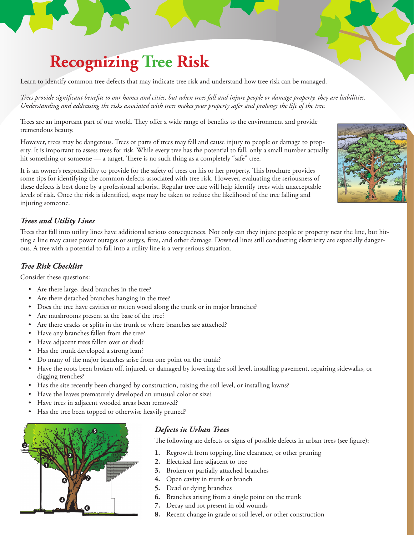# **Recognizing Tree Risk**

Learn to identify common tree defects that may indicate tree risk and understand how tree risk can be managed.

*Trees provide significant benefits to our homes and cities, but when trees fall and injure people or damage property, they are liabilities. Understanding and addressing the risks associated with trees makes your property safer and prolongs the life of the tree.*

Trees are an important part of our world. They offer a wide range of benefits to the environment and provide tremendous beauty.

However, trees may be dangerous. Trees or parts of trees may fall and cause injury to people or damage to property. It is important to assess trees for risk. While every tree has the potential to fall, only a small number actually hit something or someone — a target. There is no such thing as a completely "safe" tree.

It is an owner's responsibility to provide for the safety of trees on his or her property. This brochure provides some tips for identifying the common defects associated with tree risk. However, evaluating the seriousness of these defects is best done by a professional arborist. Regular tree care will help identify trees with unacceptable levels of risk. Once the risk is identified, steps may be taken to reduce the likelihood of the tree falling and injuring someone.

#### *Trees and Utility Lines*

Trees that fall into utility lines have additional serious consequences. Not only can they injure people or property near the line, but hitting a line may cause power outages or surges, fires, and other damage. Downed lines still conducting electricity are especially dangerous. A tree with a potential to fall into a utility line is a very serious situation.

#### *Tree Risk Checklist*

Consider these questions:

- • Are there large, dead branches in the tree?
- Are there detached branches hanging in the tree?
- Does the tree have cavities or rotten wood along the trunk or in major branches?
- • Are mushrooms present at the base of the tree?
- Are there cracks or splits in the trunk or where branches are attached?
- Have any branches fallen from the tree?
- • Have adjacent trees fallen over or died?
- Has the trunk developed a strong lean?
- Do many of the major branches arise from one point on the trunk?
- • Have the roots been broken off, injured, or damaged by lowering the soil level, installing pavement, repairing sidewalks, or digging trenches?
- Has the site recently been changed by construction, raising the soil level, or installing lawns?
- Have the leaves prematurely developed an unusual color or size?
- Have trees in adjacent wooded areas been removed?
- Has the tree been topped or otherwise heavily pruned?



# *Defects in Urban Trees*

The following are defects or signs of possible defects in urban trees (see figure):

- **1.** Regrowth from topping, line clearance, or other pruning
- **2.** Electrical line adjacent to tree
- **3.** Broken or partially attached branches
- **4.** Open cavity in trunk or branch
- **5.** Dead or dying branches
- **6.** Branches arising from a single point on the trunk
- **7.** Decay and rot present in old wounds
- **8.** Recent change in grade or soil level, or other construction